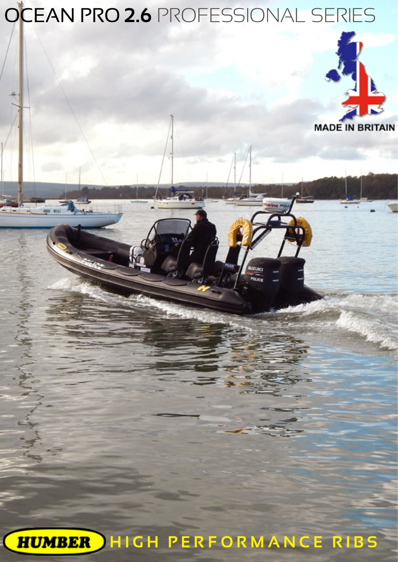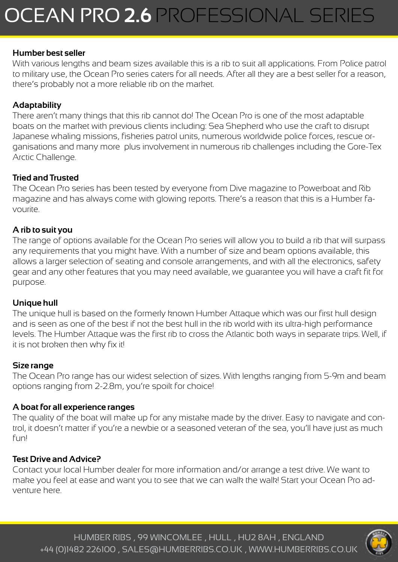### **Humber best seller**

With various lengths and beam sizes available this is a rib to suit all applications. From Police patrol to military use, the Ocean Pro series caters for all needs. After all they are a best seller for a reason, there's probably not a more reliable rib on the market.

## **Adaptability**

There aren't many things that this rib cannot do! The Ocean Pro is one of the most adaptable boats on the market with previous clients including: Sea Shepherd who use the craft to disrupt Japanese whaling missions, fisheries patrol units, numerous worldwide police forces, rescue organisations and many more plus involvement in numerous rib challenges including the Gore-Tex Arctic Challenge.

### **Tried and Trusted**

The Ocean Pro series has been tested by everyone from Dive magazine to Powerboat and Rib magazine and has always come with glowing reports. There's a reason that this is a Humber favourite.

#### **A rib to suit you**

The range of options available for the Ocean Pro series will allow you to build a rib that will surpass any requirements that you might have. With a number of size and beam options available, this allows a larger selection of seating and console arrangements, and with all the electronics, safety gear and any other features that you may need available, we guarantee you will have a craft fit for purpose.

#### **Unique hull**

The unique hull is based on the formerly known Humber Attaque which was our first hull design and is seen as one of the best if not the best hull in the rib world with its ultra-high performance levels. The Humber Attaque was the first rib to cross the Atlantic both ways in separate trips. Well, if it is not broken then why fix it!

#### **Size range**

The Ocean Pro range has our widest selection of sizes. With lengths ranging from 5-9m and beam options ranging from 2-2.8m, you're spoilt for choice!

#### **A boat for all experience ranges**

The quality of the boat will make up for any mistake made by the driver. Easy to navigate and control, it doesn't matter if you're a newbie or a seasoned veteran of the sea, you'll have just as much fun!

#### **Test Drive and Advice?**

Contact your local Humber dealer for more information and/or arrange a test drive. We want to make you feel at ease and want you to see that we can walk the walk! Start your Ocean Pro adventure here.

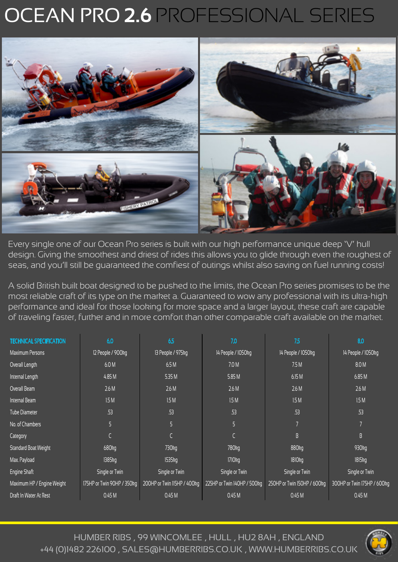# OCEAN PRO **2.6** PROFESSIONAL SERIES



Every single one of our Ocean Pro series is built with our high performance unique deep 'V' hull design. Giving the smoothest and driest of rides this allows you to glide through even the roughest of seas, and you'll still be guaranteed the comfiest of outings whilst also saving on fuel running costs!

A solid British built boat designed to be pushed to the limits, the Ocean Pro series promises to be the most reliable craft of its type on the market a. Guaranteed to wow any professional with its ultra-high performance and ideal for those looking for more space and a larger layout, these craft are capable of traveling faster, further and in more comfort than other comparable craft available on the market.

| <b>TECHNICAL SPECIFICATION</b> | 6.0                        | 6.5                         | 7.0                         | 7.5                         | 8.0                         |
|--------------------------------|----------------------------|-----------------------------|-----------------------------|-----------------------------|-----------------------------|
| <b>Maximum Persons</b>         | 12 People / 900kg          | 13 People / 975kg           | 14 People / 1050kg          | 14 People / 1050kg          | 14 People / 1050kg          |
| Overall Length                 | 6.0 M                      | 6.5M                        | 7.0 M                       | 7.5M                        | 8.0 M                       |
| Internal Length                | 4.85 M                     | 5.35M                       | 5.85 M                      | 6.15 M                      | 6.85 M                      |
| Overall Beam                   | 2.6M                       | 2.6M                        | 2.6 M                       | 2.6M                        | 2.6M                        |
| Internal Beam                  | 1.5M                       | 1.5M                        | 1.5M                        | 1.5M                        | 1.5M                        |
| <b>Tube Diameter</b>           | .53                        | .53                         | .53                         | .53                         | .53                         |
| No. of Chambers                | 5                          | 5                           | 5                           |                             |                             |
| Category                       |                            |                             |                             | $\mathsf B$                 | $\overline{B}$              |
| Standard Boat Weight           | 680kg                      | 730 <sub>kg</sub>           | 780kg                       | 880kg                       | 930 <sub>kg</sub>           |
| Max. Payload                   | 1385kg                     | 1535kg                      | 1710 <sub>kg</sub>          | 1810kg                      | 1815kg                      |
| Engine Shaft                   | Single or Twin             | Single or Twin              | Single or Twin              | Single or Twin              | Single or Twin              |
| Maximum HP / Engine Weight     | 175HP or Twin 90HP / 350kg | 200HP or Twin II5HP / 400kg | 225HP or Twin 140HP / 500kg | 250HP or Twin 150HP / 600kg | 300HP or Twin 175HP / 600kg |
| Draft In Water At Rest         | 0.45M                      | 0.45M                       | 0.45 M                      | 0.45 M                      | 0.45M                       |